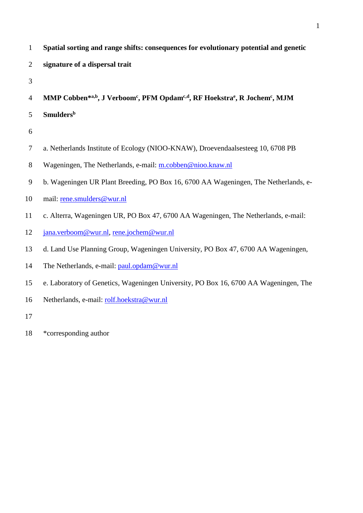| Spatial sorting and range shifts: consequences for evolutionary potential and genetic |
|---------------------------------------------------------------------------------------|
| signature of a dispersal trait                                                        |

**MMP Cobben\*a,b , J Verboom<sup>c</sup> , PFM Opdamc,d , RF Hoekstra<sup>e</sup> , R Jochem<sup>c</sup> , MJM** 

- **Smulders<sup>b</sup>**
- 
- a. Netherlands Institute of Ecology (NIOO-KNAW), Droevendaalsesteeg 10, 6708 PB
- 8 Wageningen, The Netherlands, e-mail: [m.cobben@nioo.knaw.nl](mailto:m.cobben@nioo.knaw.nl)
- b. Wageningen UR Plant Breeding, PO Box 16, 6700 AA Wageningen, The Netherlands, e-
- mail: [rene.smulders@wur.nl](mailto:rene.smulders@wur.nl)
- c. Alterra, Wageningen UR, PO Box 47, 6700 AA Wageningen, The Netherlands, e-mail:
- [jana.verboom@wur.nl,](mailto:jana.verboom@wur.nl) [rene.jochem@wur.nl](mailto:rene.jochem@wur.nl)
- d. Land Use Planning Group, Wageningen University, PO Box 47, 6700 AA Wageningen,
- 14 The Netherlands, e-mail: [paul.opdam@wur.nl](mailto:paul.opdam@wur.nl)
- e. Laboratory of Genetics, Wageningen University, PO Box 16, 6700 AA Wageningen, The
- Netherlands, e-mail: [rolf.hoekstra@wur.nl](mailto:rolf.hoekstra@wur.nl)
- 
- \*corresponding author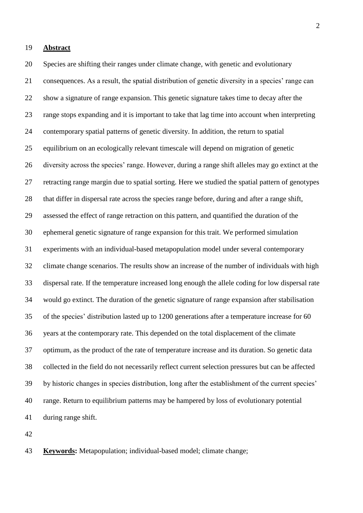## **Abstract**

 Species are shifting their ranges under climate change, with genetic and evolutionary consequences. As a result, the spatial distribution of genetic diversity in a species' range can show a signature of range expansion. This genetic signature takes time to decay after the range stops expanding and it is important to take that lag time into account when interpreting contemporary spatial patterns of genetic diversity. In addition, the return to spatial equilibrium on an ecologically relevant timescale will depend on migration of genetic diversity across the species' range. However, during a range shift alleles may go extinct at the retracting range margin due to spatial sorting. Here we studied the spatial pattern of genotypes that differ in dispersal rate across the species range before, during and after a range shift, assessed the effect of range retraction on this pattern, and quantified the duration of the ephemeral genetic signature of range expansion for this trait. We performed simulation experiments with an individual-based metapopulation model under several contemporary climate change scenarios. The results show an increase of the number of individuals with high dispersal rate. If the temperature increased long enough the allele coding for low dispersal rate would go extinct. The duration of the genetic signature of range expansion after stabilisation of the species' distribution lasted up to 1200 generations after a temperature increase for 60 years at the contemporary rate. This depended on the total displacement of the climate optimum, as the product of the rate of temperature increase and its duration. So genetic data collected in the field do not necessarily reflect current selection pressures but can be affected by historic changes in species distribution, long after the establishment of the current species' range. Return to equilibrium patterns may be hampered by loss of evolutionary potential during range shift.

**Keywords:** Metapopulation; individual-based model; climate change;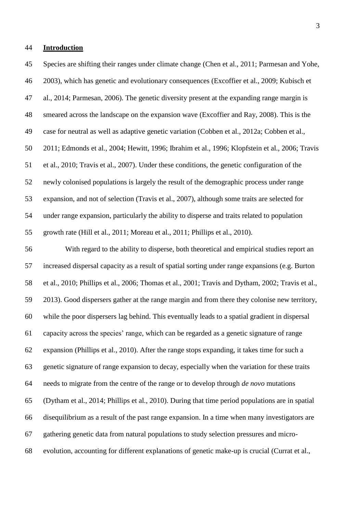#### **Introduction**

 Species are shifting their ranges under climate change [\(Chen et al., 2011;](#page-16-0) [Parmesan and Yohe,](#page-20-0)  [2003\)](#page-20-0), which has genetic and evolutionary consequences [\(Excoffier et al., 2009;](#page-17-0) [Kubisch et](#page-19-0)  [al., 2014;](#page-19-0) [Parmesan, 2006\)](#page-20-1). The genetic diversity present at the expanding range margin is smeared across the landscape on the expansion wave [\(Excoffier and Ray, 2008\)](#page-17-1). This is the case for neutral as well as adaptive genetic variation [\(Cobben et al., 2012a;](#page-16-1) [Cobben et al.,](#page-17-2)  [2011;](#page-17-2) [Edmonds et al., 2004;](#page-17-3) [Hewitt, 1996;](#page-18-0) [Ibrahim et al., 1996;](#page-18-1) [Klopfstein et al., 2006;](#page-19-1) [Travis](#page-22-0)  [et al., 2010;](#page-22-0) [Travis et al., 2007\)](#page-22-1). Under these conditions, the genetic configuration of the newly colonised populations is largely the result of the demographic process under range expansion, and not of selection [\(Travis et al., 2007\)](#page-22-1), although some traits are selected for under range expansion, particularly the ability to disperse and traits related to population growth rate [\(Hill et al., 2011;](#page-18-2) [Moreau et al., 2011;](#page-20-2) [Phillips et al., 2010\)](#page-21-0).

 With regard to the ability to disperse, both theoretical and empirical studies report an increased dispersal capacity as a result of spatial sorting under range expansions (e.g. [Burton](#page-16-2)  [et al., 2010;](#page-16-2) [Phillips et al., 2006;](#page-21-1) [Thomas et al., 2001;](#page-22-2) [Travis and Dytham, 2002;](#page-22-3) [Travis et al.,](#page-22-4)  [2013\)](#page-22-4). Good dispersers gather at the range margin and from there they colonise new territory, while the poor dispersers lag behind. This eventually leads to a spatial gradient in dispersal capacity across the species' range, which can be regarded as a genetic signature of range expansion [\(Phillips et al., 2010\)](#page-21-0). After the range stops expanding, it takes time for such a genetic signature of range expansion to decay, especially when the variation for these traits needs to migrate from the centre of the range or to develop through *de novo* mutations [\(Dytham et al., 2014;](#page-17-4) [Phillips et al., 2010\)](#page-21-0). During that time period populations are in spatial disequilibrium as a result of the past range expansion. In a time when many investigators are gathering genetic data from natural populations to study selection pressures and micro-evolution, accounting for different explanations of genetic make-up is crucial [\(Currat et al.,](#page-17-5)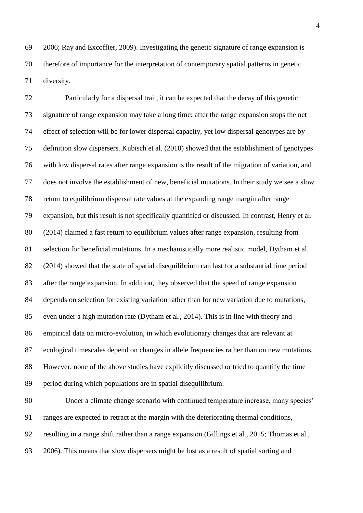[2006;](#page-17-5) [Ray and Excoffier, 2009\)](#page-21-2). Investigating the genetic signature of range expansion is therefore of importance for the interpretation of contemporary spatial patterns in genetic diversity.

 Particularly for a dispersal trait, it can be expected that the decay of this genetic signature of range expansion may take a long time: after the range expansion stops the net effect of selection will be for lower dispersal capacity, yet low dispersal genotypes are by definition slow dispersers. [Kubisch et al. \(2010\)](#page-19-2) showed that the establishment of genotypes with low dispersal rates after range expansion is the result of the migration of variation, and does not involve the establishment of new, beneficial mutations. In their study we see a slow return to equilibrium dispersal rate values at the expanding range margin after range expansion, but this result is not specifically quantified or discussed. In contrast, [Henry et al.](#page-18-3)  (2014) claimed a fast return to equilibrium values after range expansion, resulting from selection for beneficial mutations. In a mechanistically more realistic model, [Dytham et al.](#page-17-4)  (2014) showed that the state of spatial disequilibrium can last for a substantial time period after the range expansion. In addition, they observed that the speed of range expansion depends on selection for existing variation rather than for new variation due to mutations, even under a high mutation rate [\(Dytham et al., 2014\)](#page-17-4). This is in line with theory and empirical data on micro-evolution, in which evolutionary changes that are relevant at ecological timescales depend on changes in allele frequencies rather than on new mutations. However, none of the above studies have explicitly discussed or tried to quantify the time period during which populations are in spatial disequilibrium.

 Under a climate change scenario with continued temperature increase, many species' ranges are expected to retract at the margin with the deteriorating thermal conditions, resulting in a range shift rather than a range expansion [\(Gillings et al., 2015;](#page-18-4) [Thomas et al.,](#page-22-5)  [2006\)](#page-22-5). This means that slow dispersers might be lost as a result of spatial sorting and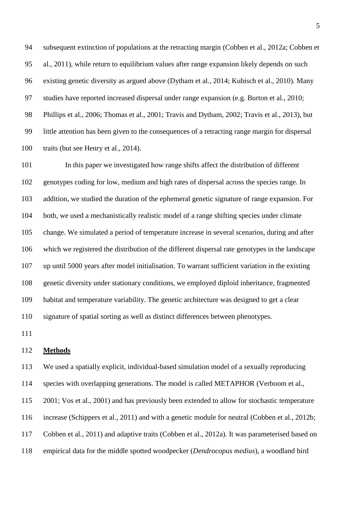subsequent extinction of populations at the retracting margin [\(Cobben et al., 2012a;](#page-16-1) [Cobben et](#page-17-2)  [al., 2011\)](#page-17-2), while return to equilibrium values after range expansion likely depends on such existing genetic diversity as argued above [\(Dytham et al., 2014;](#page-17-4) [Kubisch et al., 2010\)](#page-19-2). Many studies have reported increased dispersal under range expansion (e.g. [Burton et al., 2010;](#page-16-2) [Phillips et al., 2006;](#page-21-1) [Thomas et al., 2001;](#page-22-2) [Travis and Dytham, 2002;](#page-22-3) [Travis et al., 2013\)](#page-22-4), but little attention has been given to the consequences of a retracting range margin for dispersal 100 traits [\(but see Henry et al., 2014\)](#page-18-3).

 In this paper we investigated how range shifts affect the distribution of different genotypes coding for low, medium and high rates of dispersal across the species range. In addition, we studied the duration of the ephemeral genetic signature of range expansion. For 104 both, we used a mechanistically realistic model of a range shifting species under climate change. We simulated a period of temperature increase in several scenarios, during and after which we registered the distribution of the different dispersal rate genotypes in the landscape up until 5000 years after model initialisation. To warrant sufficient variation in the existing genetic diversity under stationary conditions, we employed diploid inheritance, fragmented habitat and temperature variability. The genetic architecture was designed to get a clear signature of spatial sorting as well as distinct differences between phenotypes.

#### **Methods**

 We used a spatially explicit, individual-based simulation model of a sexually reproducing species with overlapping generations. The model is called METAPHOR [\(Verboom et al.,](#page-22-6)  [2001;](#page-22-6) [Vos et al., 2001\)](#page-22-7) and has previously been extended to allow for stochastic temperature increase [\(Schippers et al., 2011\)](#page-21-3) and with a genetic module for neutral [\(Cobben et al., 2012b;](#page-17-6) [Cobben et al., 2011\)](#page-17-2) and adaptive traits [\(Cobben et al., 2012a\)](#page-16-1). It was parameterised based on empirical data for the middle spotted woodpecker (*Dendrocopus medius*), a woodland bird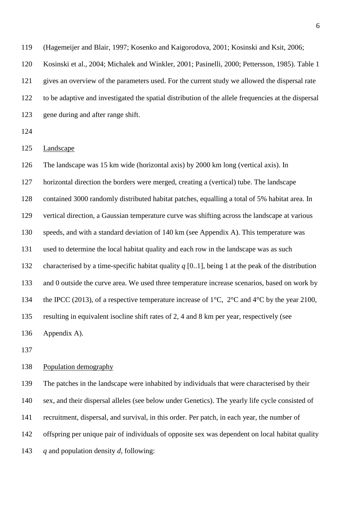[\(Hagemeijer and Blair, 1997;](#page-18-5) [Kosenko and Kaigorodova, 2001;](#page-19-3) [Kosinski and Ksit, 2006;](#page-19-4) [Kosinski et al., 2004;](#page-19-5) [Michalek and Winkler, 2001;](#page-20-3) [Pasinelli, 2000;](#page-20-4) [Pettersson, 1985\)](#page-21-4). Table 1 gives an overview of the parameters used. For the current study we allowed the dispersal rate to be adaptive and investigated the spatial distribution of the allele frequencies at the dispersal 123 gene during and after range shift. Landscape The landscape was 15 km wide (horizontal axis) by 2000 km long (vertical axis). In horizontal direction the borders were merged, creating a (vertical) tube. The landscape contained 3000 randomly distributed habitat patches, equalling a total of 5% habitat area. In vertical direction, a Gaussian temperature curve was shifting across the landscape at various speeds, and with a standard deviation of 140 km (see Appendix A). This temperature was used to determine the local habitat quality and each row in the landscape was as such characterised by a time-specific habitat quality *q* [0..1], being 1 at the peak of the distribution and 0 outside the curve area. We used three temperature increase scenarios, based on work by 134 the [IPCC \(2013\),](#page-18-6) of a respective temperature increase of  $1^{\circ}$ C,  $2^{\circ}$ C and  $4^{\circ}$ C by the year 2100, resulting in equivalent isocline shift rates of 2, 4 and 8 km per year, respectively (see Appendix A).

#### Population demography

 The patches in the landscape were inhabited by individuals that were characterised by their sex, and their dispersal alleles (see below under Genetics). The yearly life cycle consisted of recruitment, dispersal, and survival, in this order. Per patch, in each year, the number of offspring per unique pair of individuals of opposite sex was dependent on local habitat quality *q* and population density *d*, following: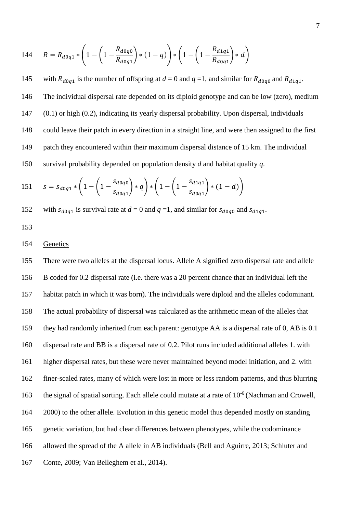144 
$$
R = R_{d0q1} * \left(1 - \left(1 - \frac{R_{d0q0}}{R_{d0q1}}\right) * (1 - q)\right) * \left(1 - \left(1 - \frac{R_{d1q1}}{R_{d0q1}}\right) * d\right)
$$

145 with  $R_{d0q1}$  is the number of offspring at  $d = 0$  and  $q = 1$ , and similar for  $R_{d0q0}$  and  $R_{d1q1}$ . The individual dispersal rate depended on its diploid genotype and can be low (zero), medium (0.1) or high (0.2), indicating its yearly dispersal probability. Upon dispersal, individuals could leave their patch in every direction in a straight line, and were then assigned to the first patch they encountered within their maximum dispersal distance of 15 km. The individual survival probability depended on population density *d* and habitat quality *q*.

151 
$$
s = s_{d0q1} * \left(1 - \left(1 - \frac{s_{d0q0}}{s_{d0q1}}\right) * q\right) * \left(1 - \left(1 - \frac{s_{d1q1}}{s_{d0q1}}\right) * (1 - d)\right)
$$

152 with  $s_{d0q1}$  is survival rate at  $d = 0$  and  $q = 1$ , and similar for  $s_{d0q0}$  and  $s_{d1q1}$ .

## Genetics

 There were two alleles at the dispersal locus. Allele A signified zero dispersal rate and allele B coded for 0.2 dispersal rate (i.e. there was a 20 percent chance that an individual left the habitat patch in which it was born). The individuals were diploid and the alleles codominant. The actual probability of dispersal was calculated as the arithmetic mean of the alleles that they had randomly inherited from each parent: genotype AA is a dispersal rate of 0, AB is 0.1 dispersal rate and BB is a dispersal rate of 0.2. Pilot runs included additional alleles 1. with higher dispersal rates, but these were never maintained beyond model initiation, and 2. with finer-scaled rates, many of which were lost in more or less random patterns, and thus blurring 163 the signal of spatial sorting. Each allele could mutate at a rate of  $10^{-6}$  (Nachman and Crowell, [2000\)](#page-20-5) to the other allele. Evolution in this genetic model thus depended mostly on standing genetic variation, but had clear differences between phenotypes, while the codominance allowed the spread of the A allele in AB individuals [\(Bell and Aguirre, 2013;](#page-16-3) [Schluter and](#page-21-5)  [Conte, 2009;](#page-21-5) [Van Belleghem et al., 2014\)](#page-22-8).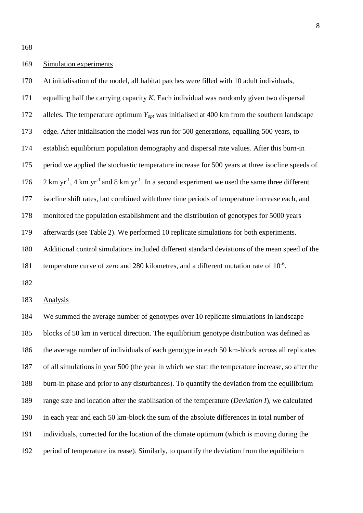#### Simulation experiments

 At initialisation of the model, all habitat patches were filled with 10 adult individuals, equalling half the carrying capacity *K*. Each individual was randomly given two dispersal alleles. The temperature optimum *Yopt* was initialised at 400 km from the southern landscape edge. After initialisation the model was run for 500 generations, equalling 500 years, to establish equilibrium population demography and dispersal rate values. After this burn-in period we applied the stochastic temperature increase for 500 years at three isocline speeds of 176 2 km yr<sup>-1</sup>, 4 km yr<sup>-1</sup> and 8 km yr<sup>-1</sup>. In a second experiment we used the same three different isocline shift rates, but combined with three time periods of temperature increase each, and monitored the population establishment and the distribution of genotypes for 5000 years afterwards (see Table 2). We performed 10 replicate simulations for both experiments. Additional control simulations included different standard deviations of the mean speed of the 181 temperature curve of zero and 280 kilometres, and a different mutation rate of  $10^{-6}$ .

Analysis

 We summed the average number of genotypes over 10 replicate simulations in landscape blocks of 50 km in vertical direction. The equilibrium genotype distribution was defined as the average number of individuals of each genotype in each 50 km-block across all replicates of all simulations in year 500 (the year in which we start the temperature increase, so after the burn-in phase and prior to any disturbances). To quantify the deviation from the equilibrium range size and location after the stabilisation of the temperature (*Deviation I*), we calculated in each year and each 50 km-block the sum of the absolute differences in total number of individuals, corrected for the location of the climate optimum (which is moving during the period of temperature increase). Similarly, to quantify the deviation from the equilibrium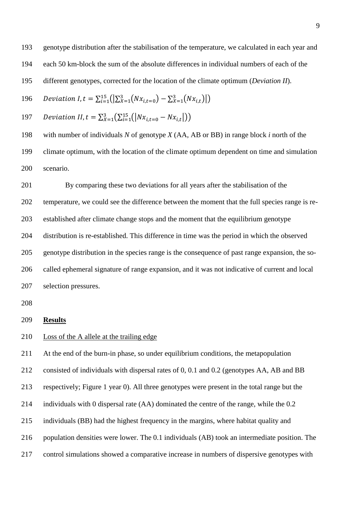genotype distribution after the stabilisation of the temperature, we calculated in each year and each 50 km-block the sum of the absolute differences in individual numbers of each of the different genotypes, corrected for the location of the climate optimum (*Deviation II*).

196 Deviation I, 
$$
t = \sum_{i=1}^{15} (|\sum_{x=1}^{3} (Nx_{i,t=0}) - \sum_{x=1}^{3} (Nx_{i,t})|)
$$

197 Deviation II, 
$$
t = \sum_{X=1}^{3} (\sum_{i=1}^{15} (|Nx_{i,t=0} - Nx_{i,t}|))
$$

 with number of individuals *N* of genotype *X* (AA, AB or BB) in range block *i* north of the climate optimum, with the location of the climate optimum dependent on time and simulation scenario.

 By comparing these two deviations for all years after the stabilisation of the temperature, we could see the difference between the moment that the full species range is re- established after climate change stops and the moment that the equilibrium genotype distribution is re-established. This difference in time was the period in which the observed genotype distribution in the species range is the consequence of past range expansion, the so- called ephemeral signature of range expansion, and it was not indicative of current and local selection pressures.

#### **Results**

## Loss of the A allele at the trailing edge

 At the end of the burn-in phase, so under equilibrium conditions, the metapopulation consisted of individuals with dispersal rates of 0, 0.1 and 0.2 (genotypes AA, AB and BB respectively; Figure 1 year 0). All three genotypes were present in the total range but the individuals with 0 dispersal rate (AA) dominated the centre of the range, while the 0.2 individuals (BB) had the highest frequency in the margins, where habitat quality and population densities were lower. The 0.1 individuals (AB) took an intermediate position. The control simulations showed a comparative increase in numbers of dispersive genotypes with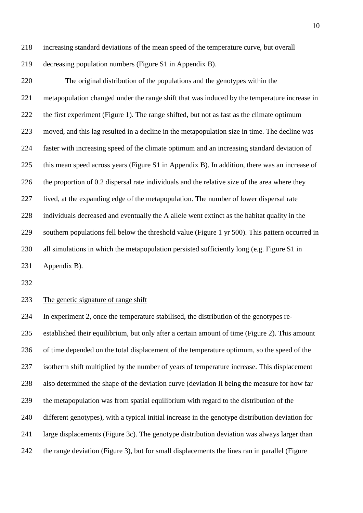increasing standard deviations of the mean speed of the temperature curve, but overall

decreasing population numbers (Figure S1 in Appendix B).

 The original distribution of the populations and the genotypes within the metapopulation changed under the range shift that was induced by the temperature increase in the first experiment (Figure 1). The range shifted, but not as fast as the climate optimum moved, and this lag resulted in a decline in the metapopulation size in time. The decline was faster with increasing speed of the climate optimum and an increasing standard deviation of this mean speed across years (Figure S1 in Appendix B). In addition, there was an increase of the proportion of 0.2 dispersal rate individuals and the relative size of the area where they lived, at the expanding edge of the metapopulation. The number of lower dispersal rate individuals decreased and eventually the A allele went extinct as the habitat quality in the southern populations fell below the threshold value (Figure 1 yr 500). This pattern occurred in all simulations in which the metapopulation persisted sufficiently long (e.g. Figure S1 in Appendix B).

#### The genetic signature of range shift

 In experiment 2, once the temperature stabilised, the distribution of the genotypes re- established their equilibrium, but only after a certain amount of time (Figure 2). This amount of time depended on the total displacement of the temperature optimum, so the speed of the isotherm shift multiplied by the number of years of temperature increase. This displacement also determined the shape of the deviation curve (deviation II being the measure for how far the metapopulation was from spatial equilibrium with regard to the distribution of the different genotypes), with a typical initial increase in the genotype distribution deviation for large displacements (Figure 3c). The genotype distribution deviation was always larger than the range deviation (Figure 3), but for small displacements the lines ran in parallel (Figure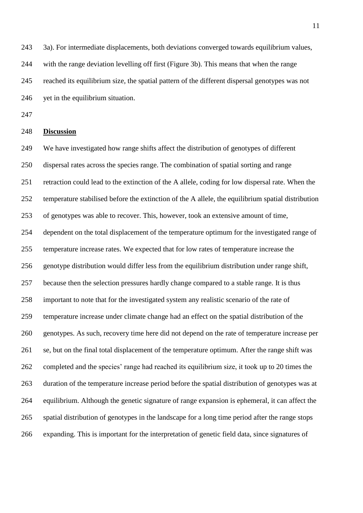3a). For intermediate displacements, both deviations converged towards equilibrium values, with the range deviation levelling off first (Figure 3b). This means that when the range reached its equilibrium size, the spatial pattern of the different dispersal genotypes was not 246 yet in the equilibrium situation.

#### **Discussion**

 We have investigated how range shifts affect the distribution of genotypes of different dispersal rates across the species range. The combination of spatial sorting and range retraction could lead to the extinction of the A allele, coding for low dispersal rate. When the temperature stabilised before the extinction of the A allele, the equilibrium spatial distribution of genotypes was able to recover. This, however, took an extensive amount of time, dependent on the total displacement of the temperature optimum for the investigated range of temperature increase rates. We expected that for low rates of temperature increase the genotype distribution would differ less from the equilibrium distribution under range shift, because then the selection pressures hardly change compared to a stable range. It is thus important to note that for the investigated system any realistic scenario of the rate of temperature increase under climate change had an effect on the spatial distribution of the genotypes. As such, recovery time here did not depend on the rate of temperature increase per se, but on the final total displacement of the temperature optimum. After the range shift was completed and the species' range had reached its equilibrium size, it took up to 20 times the duration of the temperature increase period before the spatial distribution of genotypes was at equilibrium. Although the genetic signature of range expansion is ephemeral, it can affect the spatial distribution of genotypes in the landscape for a long time period after the range stops expanding. This is important for the interpretation of genetic field data, since signatures of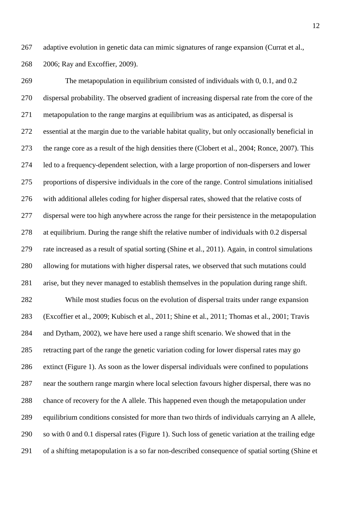adaptive evolution in genetic data can mimic signatures of range expansion [\(Currat et al.,](#page-17-5)  [2006;](#page-17-5) [Ray and Excoffier, 2009\)](#page-21-2).

 The metapopulation in equilibrium consisted of individuals with 0, 0.1, and 0.2 dispersal probability. The observed gradient of increasing dispersal rate from the core of the metapopulation to the range margins at equilibrium was as anticipated, as dispersal is essential at the margin due to the variable habitat quality, but only occasionally beneficial in the range core as a result of the high densities there [\(Clobert et al., 2004;](#page-16-4) [Ronce, 2007\)](#page-21-6). This led to a frequency-dependent selection, with a large proportion of non-dispersers and lower proportions of dispersive individuals in the core of the range. Control simulations initialised with additional alleles coding for higher dispersal rates, showed that the relative costs of dispersal were too high anywhere across the range for their persistence in the metapopulation at equilibrium. During the range shift the relative number of individuals with 0.2 dispersal rate increased as a result of spatial sorting [\(Shine et al., 2011\)](#page-21-7). Again, in control simulations allowing for mutations with higher dispersal rates, we observed that such mutations could arise, but they never managed to establish themselves in the population during range shift. While most studies focus on the evolution of dispersal traits under range expansion [\(Excoffier et al., 2009;](#page-17-0) [Kubisch et al., 2011;](#page-19-6) [Shine et al., 2011;](#page-21-7) [Thomas et al., 2001;](#page-22-2) [Travis](#page-22-3)  [and Dytham, 2002\)](#page-22-3), we have here used a range shift scenario. We showed that in the retracting part of the range the genetic variation coding for lower dispersal rates may go extinct (Figure 1). As soon as the lower dispersal individuals were confined to populations near the southern range margin where local selection favours higher dispersal, there was no chance of recovery for the A allele. This happened even though the metapopulation under equilibrium conditions consisted for more than two thirds of individuals carrying an A allele,

so with 0 and 0.1 dispersal rates (Figure 1). Such loss of genetic variation at the trailing edge

of a shifting metapopulation is a so far non-described consequence of spatial sorting [\(Shine et](#page-21-7)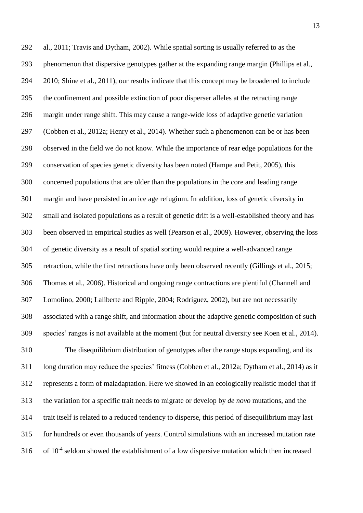[al., 2011;](#page-21-7) [Travis and Dytham, 2002\)](#page-22-3). While spatial sorting is usually referred to as the phenomenon that dispersive genotypes gather at the expanding range margin [\(Phillips et al.,](#page-21-0)  [2010;](#page-21-0) [Shine et al., 2011\)](#page-21-7), our results indicate that this concept may be broadened to include the confinement and possible extinction of poor disperser alleles at the retracting range margin under range shift. This may cause a range-wide loss of adaptive genetic variation [\(Cobben et al., 2012a;](#page-16-1) [Henry et al., 2014\)](#page-18-3). Whether such a phenomenon can be or has been observed in the field we do not know. While the importance of rear edge populations for the conservation of species genetic diversity has been noted [\(Hampe and Petit, 2005\)](#page-18-7), this concerned populations that are older than the populations in the core and leading range margin and have persisted in an ice age refugium. In addition, loss of genetic diversity in small and isolated populations as a result of genetic drift is a well-established theory and has been observed in empirical studies as well [\(Pearson et al., 2009\)](#page-20-6). However, observing the loss of genetic diversity as a result of spatial sorting would require a well-advanced range retraction, while the first retractions have only been observed recently [\(Gillings et al., 2015;](#page-18-4) [Thomas et al., 2006\)](#page-22-5). Historical and ongoing range contractions are plentiful [\(Channell and](#page-16-5)  [Lomolino, 2000;](#page-16-5) [Laliberte and Ripple, 2004;](#page-20-7) [Rodríguez, 2002\)](#page-21-8), but are not necessarily associated with a range shift, and information about the adaptive genetic composition of such species' ranges is not available at the moment [\(but for neutral diversity see Koen et al., 2014\)](#page-19-7). The disequilibrium distribution of genotypes after the range stops expanding, and its long duration may reduce the species' fitness [\(Cobben et al., 2012a;](#page-16-1) [Dytham et al., 2014\)](#page-17-4) as it represents a form of maladaptation. Here we showed in an ecologically realistic model that if the variation for a specific trait needs to migrate or develop by *de novo* mutations, and the trait itself is related to a reduced tendency to disperse, this period of disequilibrium may last for hundreds or even thousands of years. Control simulations with an increased mutation rate 316 of  $10^{-4}$  seldom showed the establishment of a low dispersive mutation which then increased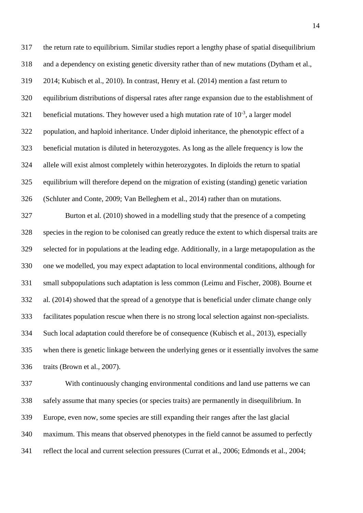the return rate to equilibrium. Similar studies report a lengthy phase of spatial disequilibrium and a dependency on existing genetic diversity rather than of new mutations [\(Dytham et al.,](#page-17-4)  [2014;](#page-17-4) [Kubisch et al., 2010\)](#page-19-2). In contrast, [Henry et al. \(2014\)](#page-18-3) mention a fast return to equilibrium distributions of dispersal rates after range expansion due to the establishment of 321 beneficial mutations. They however used a high mutation rate of  $10^{-3}$ , a larger model population, and haploid inheritance. Under diploid inheritance, the phenotypic effect of a beneficial mutation is diluted in heterozygotes. As long as the allele frequency is low the allele will exist almost completely within heterozygotes. In diploids the return to spatial equilibrium will therefore depend on the migration of existing (standing) genetic variation [\(Schluter and Conte, 2009;](#page-21-5) [Van Belleghem et al., 2014\)](#page-22-8) rather than on mutations. Burton et al. [\(2010\)](#page-16-2) showed in a modelling study that the presence of a competing species in the region to be colonised can greatly reduce the extent to which dispersal traits are selected for in populations at the leading edge. Additionally, in a large metapopulation as the one we modelled, you may expect adaptation to local environmental conditions, although for small subpopulations such adaptation is less common [\(Leimu and Fischer, 2008\)](#page-20-8). [Bourne et](#page-16-6)  al. (2014) showed that the spread of a genotype that is beneficial under climate change only facilitates population rescue when there is no strong local selection against non-specialists. Such local adaptation could therefore be of consequence [\(Kubisch et al., 2013\)](#page-19-8), especially when there is genetic linkage between the underlying genes or it essentially involves the same traits [\(Brown et al., 2007\)](#page-16-7).

 With continuously changing environmental conditions and land use patterns we can safely assume that many species (or species traits) are permanently in disequilibrium. In Europe, even now, some species are still expanding their ranges after the last glacial maximum. This means that observed phenotypes in the field cannot be assumed to perfectly reflect the local and current selection pressures [\(Currat et al., 2006;](#page-17-5) [Edmonds et al., 2004;](#page-17-3)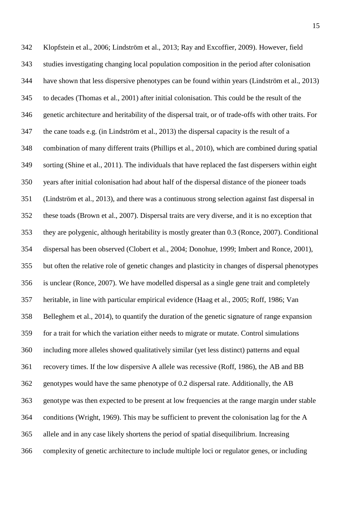[Klopfstein et al., 2006;](#page-19-1) [Lindström et al., 2013;](#page-20-9) [Ray and Excoffier, 2009\)](#page-21-2). However, field studies investigating changing local population composition in the period after colonisation have shown that less dispersive phenotypes can be found within years [\(Lindström et al., 2013\)](#page-20-9) to decades [\(Thomas et al., 2001\)](#page-22-2) after initial colonisation. This could be the result of the genetic architecture and heritability of the dispersal trait, or of trade-offs with other traits. For the cane toads e.g. [\(in Lindström et al., 2013\)](#page-20-9) the dispersal capacity is the result of a combination of many different traits [\(Phillips et al., 2010\)](#page-21-0), which are combined during spatial sorting [\(Shine et al., 2011\)](#page-21-7). The individuals that have replaced the fast dispersers within eight years after initial colonisation had about half of the dispersal distance of the pioneer toads [\(Lindström et al., 2013\)](#page-20-9), and there was a continuous strong selection against fast dispersal in these toads [\(Brown et al., 2007\)](#page-16-7). Dispersal traits are very diverse, and it is no exception that they are polygenic, although heritability is mostly greater than 0.3 [\(Ronce, 2007\)](#page-21-6). Conditional dispersal has been observed [\(Clobert et al., 2004;](#page-16-4) [Donohue, 1999;](#page-17-7) [Imbert and Ronce, 2001\)](#page-18-8), but often the relative role of genetic changes and plasticity in changes of dispersal phenotypes is unclear [\(Ronce, 2007\)](#page-21-6). We have modelled dispersal as a single gene trait and completely heritable, in line with particular empirical evidence [\(Haag et al., 2005;](#page-18-9) [Roff, 1986;](#page-21-9) [Van](#page-22-8)  [Belleghem et al., 2014\)](#page-22-8), to quantify the duration of the genetic signature of range expansion for a trait for which the variation either needs to migrate or mutate. Control simulations including more alleles showed qualitatively similar (yet less distinct) patterns and equal recovery times. If the low dispersive A allele was recessive [\(Roff, 1986\)](#page-21-9), the AB and BB genotypes would have the same phenotype of 0.2 dispersal rate. Additionally, the AB genotype was then expected to be present at low frequencies at the range margin under stable conditions [\(Wright, 1969\)](#page-22-9). This may be sufficient to prevent the colonisation lag for the A allele and in any case likely shortens the period of spatial disequilibrium. Increasing complexity of genetic architecture to include multiple loci or regulator genes, or including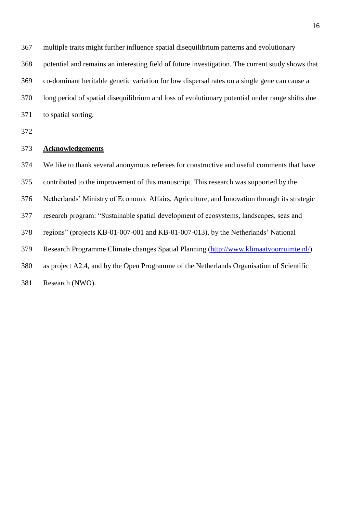multiple traits might further influence spatial disequilibrium patterns and evolutionary

potential and remains an interesting field of future investigation. The current study shows that

 co-dominant heritable genetic variation for low dispersal rates on a single gene can cause a long period of spatial disequilibrium and loss of evolutionary potential under range shifts due

to spatial sorting.

## **Acknowledgements**

 We like to thank several anonymous referees for constructive and useful comments that have contributed to the improvement of this manuscript. This research was supported by the Netherlands' Ministry of Economic Affairs, Agriculture, and Innovation through its strategic research program: "Sustainable spatial development of ecosystems, landscapes, seas and regions" (projects KB-01-007-001 and KB-01-007-013), by the Netherlands' National Research Programme Climate changes Spatial Planning [\(http://www.klimaatvoorruimte.nl/\)](http://www.klimaatvoorruimte.nl/) as project A2.4, and by the Open Programme of the Netherlands Organisation of Scientific Research (NWO).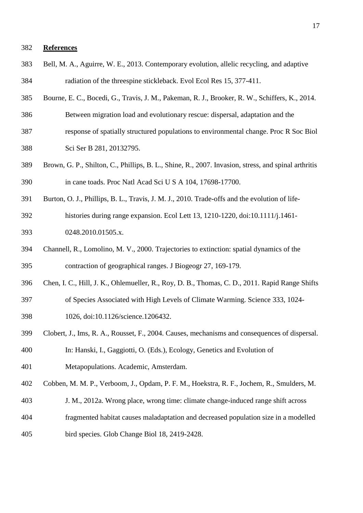### **References**

- <span id="page-16-3"></span> Bell, M. A., Aguirre, W. E., 2013. Contemporary evolution, allelic recycling, and adaptive radiation of the threespine stickleback. Evol Ecol Res 15, 377-411.
- <span id="page-16-6"></span>Bourne, E. C., Bocedi, G., Travis, J. M., Pakeman, R. J., Brooker, R. W., Schiffers, K., 2014.
- Between migration load and evolutionary rescue: dispersal, adaptation and the
- response of spatially structured populations to environmental change. Proc R Soc Biol Sci Ser B 281, 20132795.
- <span id="page-16-7"></span> Brown, G. P., Shilton, C., Phillips, B. L., Shine, R., 2007. Invasion, stress, and spinal arthritis in cane toads. Proc Natl Acad Sci U S A 104, 17698-17700.
- <span id="page-16-2"></span> Burton, O. J., Phillips, B. L., Travis, J. M. J., 2010. Trade-offs and the evolution of life-histories during range expansion. Ecol Lett 13, 1210-1220, doi:10.1111/j.1461-
- 0248.2010.01505.x.
- <span id="page-16-5"></span> Channell, R., Lomolino, M. V., 2000. Trajectories to extinction: spatial dynamics of the contraction of geographical ranges. J Biogeogr 27, 169-179.
- <span id="page-16-0"></span>Chen, I. C., Hill, J. K., Ohlemueller, R., Roy, D. B., Thomas, C. D., 2011. Rapid Range Shifts
- of Species Associated with High Levels of Climate Warming. Science 333, 1024-
- 1026, doi:10.1126/science.1206432.
- <span id="page-16-4"></span>Clobert, J., Ims, R. A., Rousset, F., 2004. Causes, mechanisms and consequences of dispersal.
- In: Hanski, I., Gaggiotti, O. (Eds.), Ecology, Genetics and Evolution of
- Metapopulations. Academic, Amsterdam.
- <span id="page-16-1"></span>Cobben, M. M. P., Verboom, J., Opdam, P. F. M., Hoekstra, R. F., Jochem, R., Smulders, M.
- J. M., 2012a. Wrong place, wrong time: climate change-induced range shift across
- fragmented habitat causes maladaptation and decreased population size in a modelled
- bird species. Glob Change Biol 18, 2419-2428.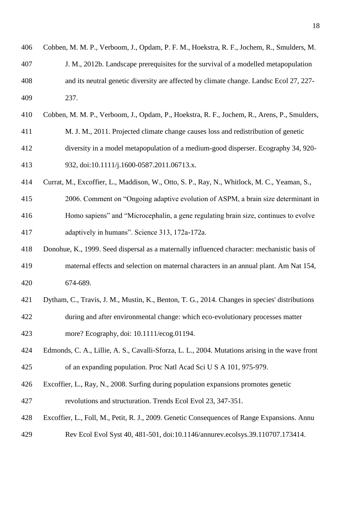<span id="page-17-7"></span><span id="page-17-6"></span><span id="page-17-5"></span><span id="page-17-4"></span><span id="page-17-3"></span><span id="page-17-2"></span><span id="page-17-1"></span><span id="page-17-0"></span>

| 406 | Cobben, M. M. P., Verboom, J., Opdam, P. F. M., Hoekstra, R. F., Jochem, R., Smulders, M.       |
|-----|-------------------------------------------------------------------------------------------------|
| 407 | J. M., 2012b. Landscape prerequisites for the survival of a modelled metapopulation             |
| 408 | and its neutral genetic diversity are affected by climate change. Landsc Ecol 27, 227-          |
| 409 | 237.                                                                                            |
| 410 | Cobben, M. M. P., Verboom, J., Opdam, P., Hoekstra, R. F., Jochem, R., Arens, P., Smulders,     |
| 411 | M. J. M., 2011. Projected climate change causes loss and redistribution of genetic              |
| 412 | diversity in a model metapopulation of a medium-good disperser. Ecography 34, 920-              |
| 413 | 932, doi:10.1111/j.1600-0587.2011.06713.x.                                                      |
| 414 | Currat, M., Excoffier, L., Maddison, W., Otto, S. P., Ray, N., Whitlock, M. C., Yeaman, S.,     |
| 415 | 2006. Comment on "Ongoing adaptive evolution of ASPM, a brain size determinant in               |
| 416 | Homo sapiens" and "Microcephalin, a gene regulating brain size, continues to evolve             |
| 417 | adaptively in humans". Science 313, 172a-172a.                                                  |
| 418 | Donohue, K., 1999. Seed dispersal as a maternally influenced character: mechanistic basis of    |
| 419 | maternal effects and selection on maternal characters in an annual plant. Am Nat 154,           |
| 420 | 674-689.                                                                                        |
| 421 | Dytham, C., Travis, J. M., Mustin, K., Benton, T. G., 2014. Changes in species' distributions   |
| 422 | during and after environmental change: which eco-evolutionary processes matter                  |
| 423 | more? Ecography, doi: 10.1111/ecog.01194.                                                       |
| 424 | Edmonds, C. A., Lillie, A. S., Cavalli-Sforza, L. L., 2004. Mutations arising in the wave front |
| 425 | of an expanding population. Proc Natl Acad Sci U S A 101, 975-979.                              |
| 426 | Excoffier, L., Ray, N., 2008. Surfing during population expansions promotes genetic             |
| 427 | revolutions and structuration. Trends Ecol Evol 23, 347-351.                                    |
| 428 | Excoffier, L., Foll, M., Petit, R. J., 2009. Genetic Consequences of Range Expansions. Annu     |
| 429 | Rev Ecol Evol Syst 40, 481-501, doi:10.1146/annurev.ecolsys.39.110707.173414.                   |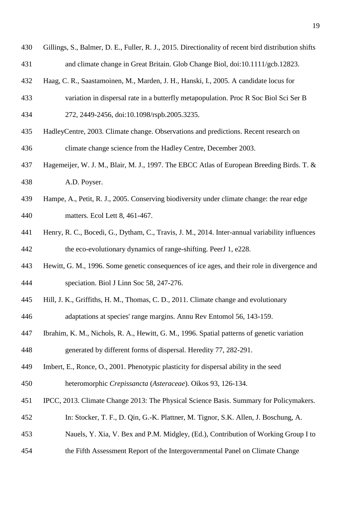- <span id="page-18-4"></span> Gillings, S., Balmer, D. E., Fuller, R. J., 2015. Directionality of recent bird distribution shifts and climate change in Great Britain. Glob Change Biol, doi:10.1111/gcb.12823.
- <span id="page-18-9"></span>Haag, C. R., Saastamoinen, M., Marden, J. H., Hanski, I., 2005. A candidate locus for
- variation in dispersal rate in a butterfly metapopulation. Proc R Soc Biol Sci Ser B 272, 2449-2456, doi:10.1098/rspb.2005.3235.
- <span id="page-18-10"></span> HadleyCentre, 2003. Climate change. Observations and predictions. Recent research on climate change science from the Hadley Centre, December 2003.
- <span id="page-18-5"></span> Hagemeijer, W. J. M., Blair, M. J., 1997. The EBCC Atlas of European Breeding Birds. T. & A.D. Poyser.
- <span id="page-18-7"></span> Hampe, A., Petit, R. J., 2005. Conserving biodiversity under climate change: the rear edge matters. Ecol Lett 8, 461-467.
- <span id="page-18-3"></span> Henry, R. C., Bocedi, G., Dytham, C., Travis, J. M., 2014. Inter-annual variability influences the eco-evolutionary dynamics of range-shifting. PeerJ 1, e228.
- <span id="page-18-0"></span> Hewitt, G. M., 1996. Some genetic consequences of ice ages, and their role in divergence and speciation. Biol J Linn Soc 58, 247-276.
- <span id="page-18-2"></span> Hill, J. K., Griffiths, H. M., Thomas, C. D., 2011. Climate change and evolutionary adaptations at species' range margins. Annu Rev Entomol 56, 143-159.
- <span id="page-18-1"></span> Ibrahim, K. M., Nichols, R. A., Hewitt, G. M., 1996. Spatial patterns of genetic variation generated by different forms of dispersal. Heredity 77, 282-291.
- <span id="page-18-8"></span>Imbert, E., Ronce, O., 2001. Phenotypic plasticity for dispersal ability in the seed
- heteromorphic *Crepissancta* (*Asteraceae*). Oikos 93, 126-134.
- <span id="page-18-6"></span>IPCC, 2013. Climate Change 2013: The Physical Science Basis. Summary for Policymakers.
- In: Stocker, T. F., D. Qin, G.-K. Plattner, M. Tignor, S.K. Allen, J. Boschung, A.
- Nauels, Y. Xia, V. Bex and P.M. Midgley, (Ed.), Contribution of Working Group I to
- the Fifth Assessment Report of the Intergovernmental Panel on Climate Change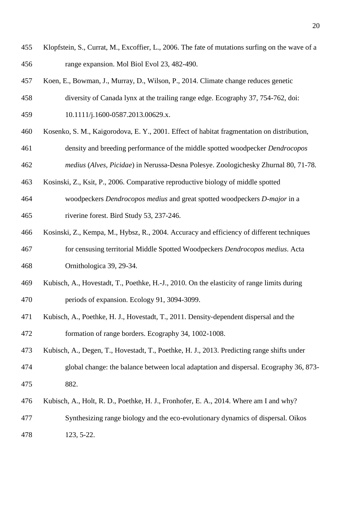- <span id="page-19-1"></span> Klopfstein, S., Currat, M., Excoffier, L., 2006. The fate of mutations surfing on the wave of a range expansion. Mol Biol Evol 23, 482-490.
- <span id="page-19-7"></span>Koen, E., Bowman, J., Murray, D., Wilson, P., 2014. Climate change reduces genetic
- diversity of Canada lynx at the trailing range edge. Ecography 37, 754-762, doi:
- 10.1111/j.1600-0587.2013.00629.x.
- <span id="page-19-3"></span>Kosenko, S. M., Kaigorodova, E. Y., 2001. Effect of habitat fragmentation on distribution,
- density and breeding performance of the middle spotted woodpecker *Dendrocopos*
- *medius* (*Alves, Picidae*) in Nerussa-Desna Polesye. Zoologichesky Zhurnal 80, 71-78.
- <span id="page-19-4"></span>Kosinski, Z., Ksit, P., 2006. Comparative reproductive biology of middle spotted
- woodpeckers *Dendrocopos medius* and great spotted woodpeckers *D-major* in a riverine forest. Bird Study 53, 237-246.
- <span id="page-19-5"></span> Kosinski, Z., Kempa, M., Hybsz, R., 2004. Accuracy and efficiency of different techniques for censusing territorial Middle Spotted Woodpeckers *Dendrocopos medius*. Acta Ornithologica 39, 29-34.
- <span id="page-19-2"></span> Kubisch, A., Hovestadt, T., Poethke, H.-J., 2010. On the elasticity of range limits during periods of expansion. Ecology 91, 3094-3099.
- <span id="page-19-6"></span> Kubisch, A., Poethke, H. J., Hovestadt, T., 2011. Density‐dependent dispersal and the formation of range borders. Ecography 34, 1002-1008.
- <span id="page-19-8"></span> Kubisch, A., Degen, T., Hovestadt, T., Poethke, H. J., 2013. Predicting range shifts under global change: the balance between local adaptation and dispersal. Ecography 36, 873-
- 882.
- <span id="page-19-0"></span>Kubisch, A., Holt, R. D., Poethke, H. J., Fronhofer, E. A., 2014. Where am I and why?
- Synthesizing range biology and the eco‐evolutionary dynamics of dispersal. Oikos 123, 5-22.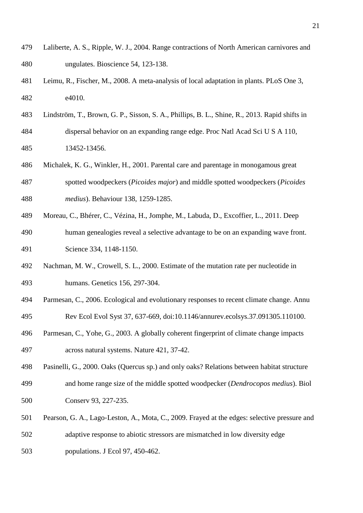- <span id="page-20-7"></span> Laliberte, A. S., Ripple, W. J., 2004. Range contractions of North American carnivores and ungulates. Bioscience 54, 123-138.
- <span id="page-20-8"></span> Leimu, R., Fischer, M., 2008. A meta-analysis of local adaptation in plants. PLoS One 3, e4010.
- <span id="page-20-9"></span> Lindström, T., Brown, G. P., Sisson, S. A., Phillips, B. L., Shine, R., 2013. Rapid shifts in dispersal behavior on an expanding range edge. Proc Natl Acad Sci U S A 110, 13452-13456.
- <span id="page-20-3"></span> Michalek, K. G., Winkler, H., 2001. Parental care and parentage in monogamous great spotted woodpeckers (*Picoides major*) and middle spotted woodpeckers (*Picoides medius*). Behaviour 138, 1259-1285.
- <span id="page-20-2"></span>Moreau, C., Bhérer, C., Vézina, H., Jomphe, M., Labuda, D., Excoffier, L., 2011. Deep
- human genealogies reveal a selective advantage to be on an expanding wave front. Science 334, 1148-1150.
- <span id="page-20-5"></span> Nachman, M. W., Crowell, S. L., 2000. Estimate of the mutation rate per nucleotide in humans. Genetics 156, 297-304.
- <span id="page-20-1"></span> Parmesan, C., 2006. Ecological and evolutionary responses to recent climate change. Annu Rev Ecol Evol Syst 37, 637-669, doi:10.1146/annurev.ecolsys.37.091305.110100.
- <span id="page-20-0"></span> Parmesan, C., Yohe, G., 2003. A globally coherent fingerprint of climate change impacts across natural systems. Nature 421, 37-42.
- <span id="page-20-4"></span> Pasinelli, G., 2000. Oaks (Quercus sp.) and only oaks? Relations between habitat structure and home range size of the middle spotted woodpecker (*Dendrocopos medius*). Biol 500 Conserv 93, 227-235.
- <span id="page-20-6"></span>501 Pearson, G. A., Lago-Leston, A., Mota, C., 2009. Frayed at the edges: selective pressure and adaptive response to abiotic stressors are mismatched in low diversity edge populations. J Ecol 97, 450-462.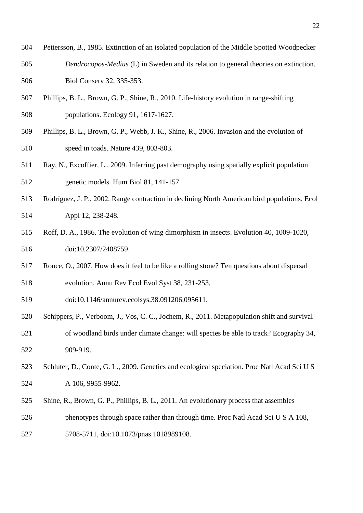- <span id="page-21-4"></span> Pettersson, B., 1985. Extinction of an isolated population of the Middle Spotted Woodpecker *Dendrocopos-Medius* (L) in Sweden and its relation to general theories on extinction. Biol Conserv 32, 335-353.
- <span id="page-21-0"></span> Phillips, B. L., Brown, G. P., Shine, R., 2010. Life-history evolution in range-shifting populations. Ecology 91, 1617-1627.
- <span id="page-21-1"></span> Phillips, B. L., Brown, G. P., Webb, J. K., Shine, R., 2006. Invasion and the evolution of speed in toads. Nature 439, 803-803.
- <span id="page-21-2"></span> Ray, N., Excoffier, L., 2009. Inferring past demography using spatially explicit population genetic models. Hum Biol 81, 141-157.
- <span id="page-21-8"></span> Rodríguez, J. P., 2002. Range contraction in declining North American bird populations. Ecol Appl 12, 238-248.
- <span id="page-21-9"></span> Roff, D. A., 1986. The evolution of wing dimorphism in insects. Evolution 40, 1009-1020, 516 doi:10.2307/2408759.
- <span id="page-21-6"></span>Ronce, O., 2007. How does it feel to be like a rolling stone? Ten questions about dispersal
- evolution. Annu Rev Ecol Evol Syst 38, 231-253,
- doi:10.1146/annurev.ecolsys.38.091206.095611.
- <span id="page-21-3"></span> Schippers, P., Verboom, J., Vos, C. C., Jochem, R., 2011. Metapopulation shift and survival of woodland birds under climate change: will species be able to track? Ecography 34, 909-919.
- <span id="page-21-5"></span> Schluter, D., Conte, G. L., 2009. Genetics and ecological speciation. Proc Natl Acad Sci U S A 106, 9955-9962.
- <span id="page-21-7"></span>Shine, R., Brown, G. P., Phillips, B. L., 2011. An evolutionary process that assembles
- phenotypes through space rather than through time. Proc Natl Acad Sci U S A 108,
- 5708-5711, doi:10.1073/pnas.1018989108.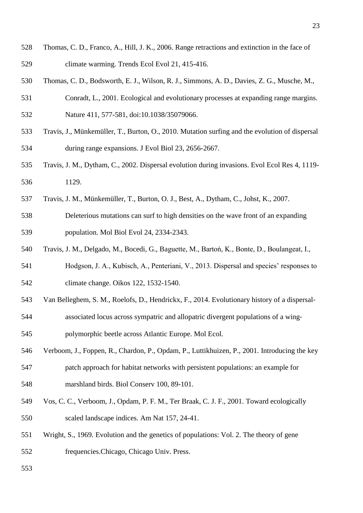- <span id="page-22-5"></span> Thomas, C. D., Franco, A., Hill, J. K., 2006. Range retractions and extinction in the face of climate warming. Trends Ecol Evol 21, 415-416.
- <span id="page-22-2"></span>Thomas, C. D., Bodsworth, E. J., Wilson, R. J., Simmons, A. D., Davies, Z. G., Musche, M.,
- Conradt, L., 2001. Ecological and evolutionary processes at expanding range margins. Nature 411, 577-581, doi:10.1038/35079066.
- <span id="page-22-0"></span> Travis, J., Münkemüller, T., Burton, O., 2010. Mutation surfing and the evolution of dispersal during range expansions. J Evol Biol 23, 2656-2667.
- <span id="page-22-3"></span> Travis, J. M., Dytham, C., 2002. Dispersal evolution during invasions. Evol Ecol Res 4, 1119- 1129.
- <span id="page-22-1"></span>Travis, J. M., Münkemüller, T., Burton, O. J., Best, A., Dytham, C., Johst, K., 2007.
- Deleterious mutations can surf to high densities on the wave front of an expanding population. Mol Biol Evol 24, 2334-2343.
- <span id="page-22-4"></span>Travis, J. M., Delgado, M., Bocedi, G., Baguette, M., Bartoń, K., Bonte, D., Boulangeat, I.,
- Hodgson, J. A., Kubisch, A., Penteriani, V., 2013. Dispersal and species' responses to climate change. Oikos 122, 1532-1540.
- <span id="page-22-8"></span>Van Belleghem, S. M., Roelofs, D., Hendrickx, F., 2014. Evolutionary history of a dispersal‐
- associated locus across sympatric and allopatric divergent populations of a wing‐
- polymorphic beetle across Atlantic Europe. Mol Ecol.
- <span id="page-22-6"></span> Verboom, J., Foppen, R., Chardon, P., Opdam, P., Luttikhuizen, P., 2001. Introducing the key patch approach for habitat networks with persistent populations: an example for
- marshland birds. Biol Conserv 100, 89-101.
- <span id="page-22-7"></span> Vos, C. C., Verboom, J., Opdam, P. F. M., Ter Braak, C. J. F., 2001. Toward ecologically scaled landscape indices. Am Nat 157, 24-41.
- <span id="page-22-9"></span> Wright, S., 1969. Evolution and the genetics of populations: Vol. 2. The theory of gene frequencies.Chicago, Chicago Univ. Press.
-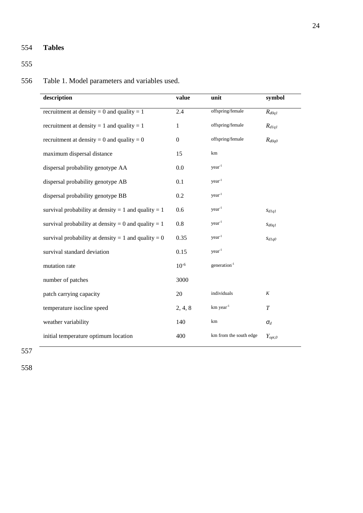## 554 **Tables**

555

# 556 Table 1. Model parameters and variables used.

| description                                         | value            | unit                     | symbol      |
|-----------------------------------------------------|------------------|--------------------------|-------------|
| recruitment at density = 0 and quality = 1          | 2.4              | offspring/female         | $R_{d0qI}$  |
| recruitment at density = 1 and quality = 1          | $\mathbf 1$      | offspring/female         | $R_{dlql}$  |
| recruitment at density = 0 and quality = 0          | $\boldsymbol{0}$ | offspring/female         | $R_{d0q0}$  |
| maximum dispersal distance                          | 15               | km                       |             |
| dispersal probability genotype AA                   | 0.0              | $year-1$                 |             |
| dispersal probability genotype AB                   | 0.1              | $year-1$                 |             |
| dispersal probability genotype BB                   | 0.2              | year <sup>1</sup>        |             |
| survival probability at density = 1 and quality = 1 | 0.6              | year <sup>1</sup>        | Sdlq        |
| survival probability at density = 0 and quality = 1 | 0.8              | $year-1$                 | SdOqI       |
| survival probability at density = 1 and quality = 0 | 0.35             | $year-1$                 | SdIq0       |
| survival standard deviation                         | 0.15             | $year-1$                 |             |
| mutation rate                                       | $10^{-6}$        | generation <sup>-1</sup> |             |
| number of patches                                   | 3000             |                          |             |
| patch carrying capacity                             | 20               | individuals              | K           |
| temperature isocline speed                          | 2, 4, 8          | km year <sup>-1</sup>    | T           |
| weather variability                                 | 140              | km                       | $\sigma_d$  |
| initial temperature optimum location                | 400              | km from the south edge   | $Y_{opt,0}$ |

557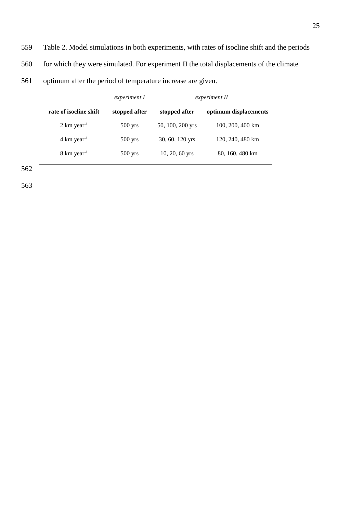- 559 Table 2. Model simulations in both experiments, with rates of isocline shift and the periods
- 560 for which they were simulated. For experiment II the total displacements of the climate
- 561 optimum after the period of temperature increase are given.

|                                   | experiment I  | experiment II    |                       |
|-----------------------------------|---------------|------------------|-----------------------|
| rate of isocline shift            | stopped after | stopped after    | optimum displacements |
| $2 \text{ km}$ year <sup>-1</sup> | $500$ yrs     | 50, 100, 200 yrs | 100, 200, 400 km      |
| $4 \text{ km} \text{ year}^{-1}$  | $500$ yrs     | 30, 60, 120 yrs  | 120, 240, 480 km      |
| $8 \text{ km} \text{ year}^{-1}$  | $500$ yrs     | $10, 20, 60$ yrs | 80, 160, 480 km       |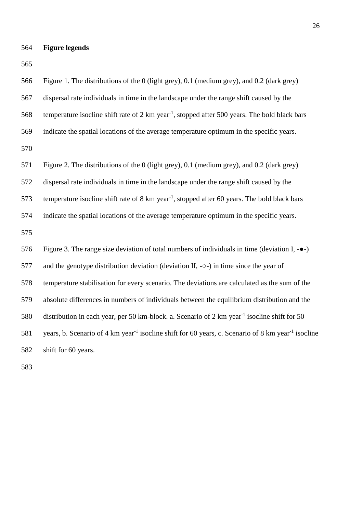**Figure legends**

| 566 | Figure 1. The distributions of the 0 (light grey), 0.1 (medium grey), and 0.2 (dark grey)                                  |
|-----|----------------------------------------------------------------------------------------------------------------------------|
| 567 | dispersal rate individuals in time in the landscape under the range shift caused by the                                    |
| 568 | temperature isocline shift rate of $2 \text{ km}$ year <sup>-1</sup> , stopped after 500 years. The bold black bars        |
| 569 | indicate the spatial locations of the average temperature optimum in the specific years.                                   |
| 570 |                                                                                                                            |
| 571 | Figure 2. The distributions of the 0 (light grey), 0.1 (medium grey), and 0.2 (dark grey)                                  |
| 572 | dispersal rate individuals in time in the landscape under the range shift caused by the                                    |
| 573 | temperature isocline shift rate of $8 \text{ km}$ year <sup>-1</sup> , stopped after 60 years. The bold black bars         |
| 574 | indicate the spatial locations of the average temperature optimum in the specific years.                                   |
| 575 |                                                                                                                            |
| 576 | Figure 3. The range size deviation of total numbers of individuals in time (deviation I, $-\bullet$ )                      |
| 577 | and the genotype distribution deviation (deviation $II$ , - $\circ$ -) in time since the year of                           |
| 578 | temperature stabilisation for every scenario. The deviations are calculated as the sum of the                              |
| 579 | absolute differences in numbers of individuals between the equilibrium distribution and the                                |
| 580 | distribution in each year, per 50 km-block. a. Scenario of 2 km year <sup>-1</sup> isocline shift for 50                   |
| 581 | years, b. Scenario of 4 km year <sup>-1</sup> isocline shift for 60 years, c. Scenario of 8 km year <sup>-1</sup> isocline |
| 582 | shift for 60 years.                                                                                                        |
| 583 |                                                                                                                            |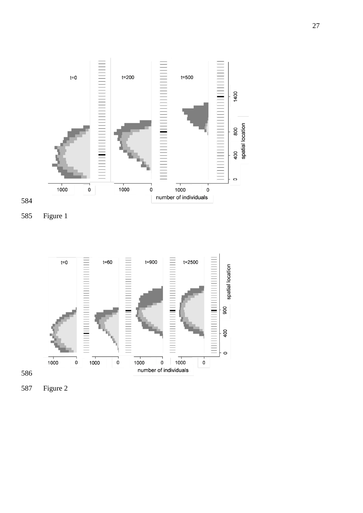



Figure 1



Figure 2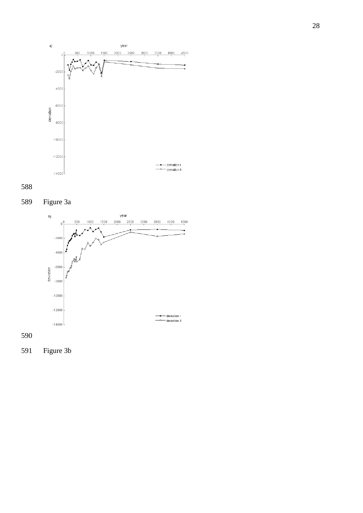







Figure 3b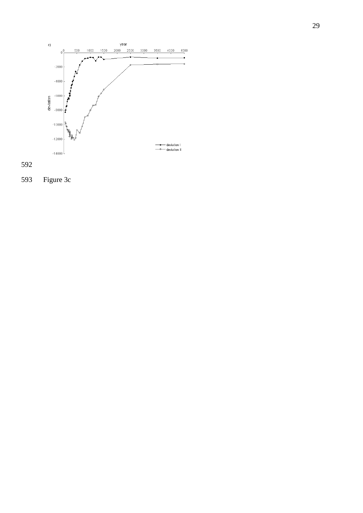



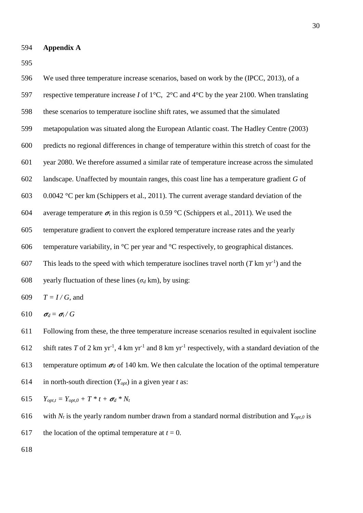596 We used three temperature increase scenarios, based on work by the [\(IPCC, 2013\)](#page-18-6), of a 597 respective temperature increase *I* of 1°C, 2°C and 4°C by the year 2100. When translating 598 these scenarios to temperature isocline shift rates, we assumed that the simulated 599 metapopulation was situated along the European Atlantic coast. The Hadley Centre [\(2003\)](#page-18-10) 600 predicts no regional differences in change of temperature within this stretch of coast for the 601 year 2080. We therefore assumed a similar rate of temperature increase across the simulated 602 landscape. Unaffected by mountain ranges, this coast line has a temperature gradient *G* of 603 0.0042 °C per km [\(Schippers et al., 2011\)](#page-21-3). The current average standard deviation of the 604 average temperature  $\sigma_t$  in this region is 0.59 °C [\(Schippers et al., 2011\)](#page-21-3). We used the 605 temperature gradient to convert the explored temperature increase rates and the yearly 606 temperature variability, in  $^{\circ}$ C per year and  $^{\circ}$ C respectively, to geographical distances. 607 This leads to the speed with which temperature isoclines travel north  $(T \text{ km yr}^{-1})$  and the 608 vearly fluctuation of these lines ( $\sigma_d$  km), by using: 609  $T = I/G$ , and 610  $\sigma_d = \sigma_t/G$ 

611 Following from these, the three temperature increase scenarios resulted in equivalent isocline 612 shift rates T of 2 km yr<sup>-1</sup>, 4 km yr<sup>-1</sup> and 8 km yr<sup>-1</sup> respectively, with a standard deviation of the 613 temperature optimum  $\sigma_d$  of 140 km. We then calculate the location of the optimal temperature 614 in north-south direction (*Yopt*) in a given year *t* as:

615  $Y_{opt,t} = Y_{opt,0} + T * t + \sigma_d * N_t$ 

616 with  $N_t$  is the yearly random number drawn from a standard normal distribution and  $Y_{opt,0}$  is

617 the location of the optimal temperature at  $t = 0$ .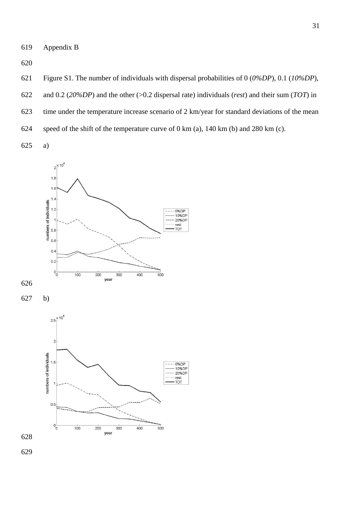Appendix B

- Figure S1. The number of individuals with dispersal probabilities of 0 (*0%DP*), 0.1 (*10%DP*),
- and 0.2 (*20%DP*) and the other (>0.2 dispersal rate) individuals (*rest*) and their sum (*TOT*) in
- time under the temperature increase scenario of 2 km/year for standard deviations of the mean
- speed of the shift of the temperature curve of 0 km (a), 140 km (b) and 280 km (c).
- a)